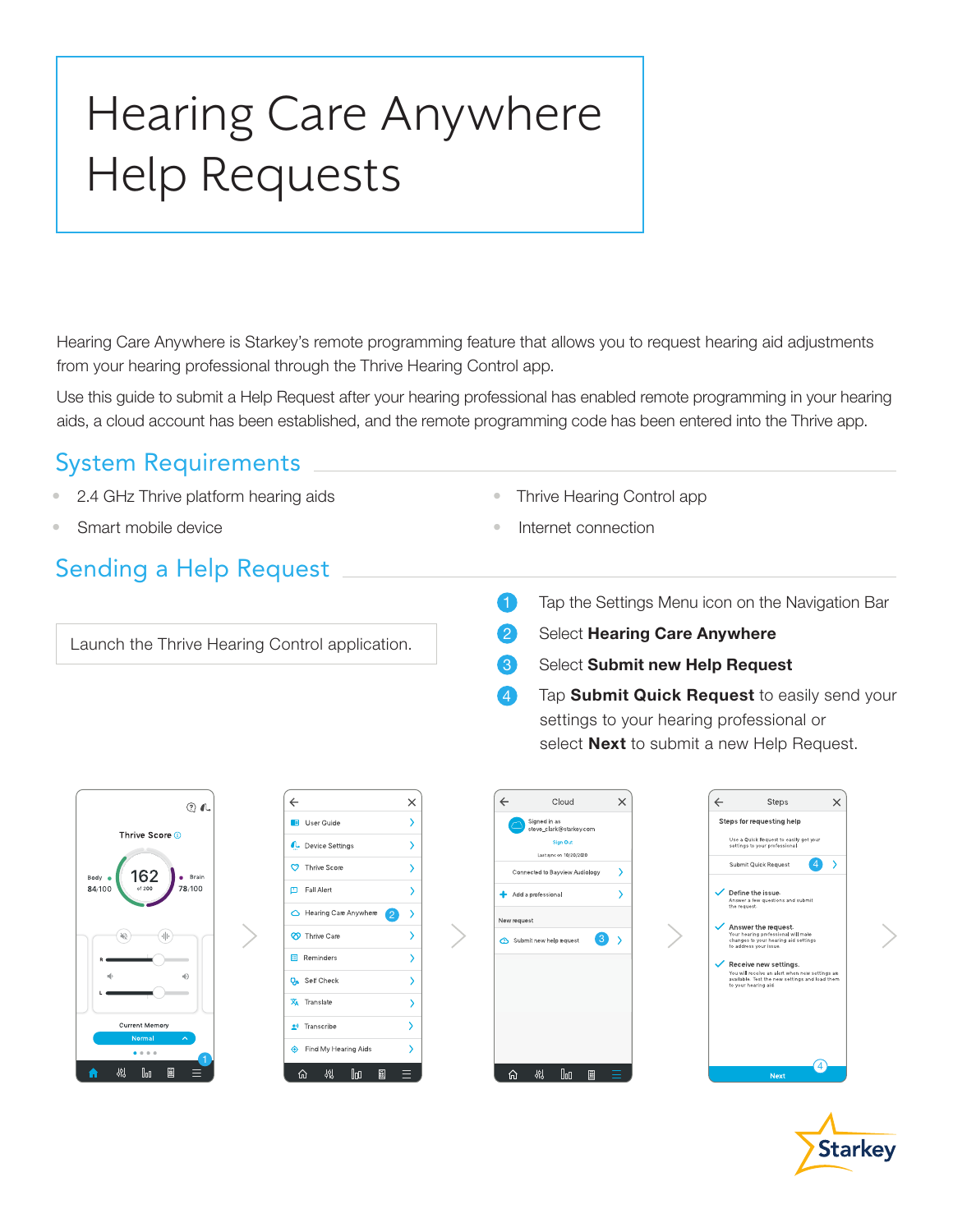# Hearing Care Anywhere Help Requests

Hearing Care Anywhere is Starkey's remote programming feature that allows you to request hearing aid adjustments from your hearing professional through the Thrive Hearing Control app.

Use this guide to submit a Help Request after your hearing professional has enabled remote programming in your hearing aids, a cloud account has been established, and the remote programming code has been entered into the Thrive app.

#### System Requirements

- 2.4 GHz Thrive platform hearing aids
- Smart mobile device

### Sending a Help Request

Launch the Thrive Hearing Control application.

- Thrive Hearing Control app
- Internet connection
- 1 Tap the Settings Menu icon on the Navigation Bar
- 2 Select Hearing Care Anywhere
- Select Submit new Help Request
- Tap Submit Quick Request to easily send your settings to your hearing professional or select **Next** to submit a new Help Request.







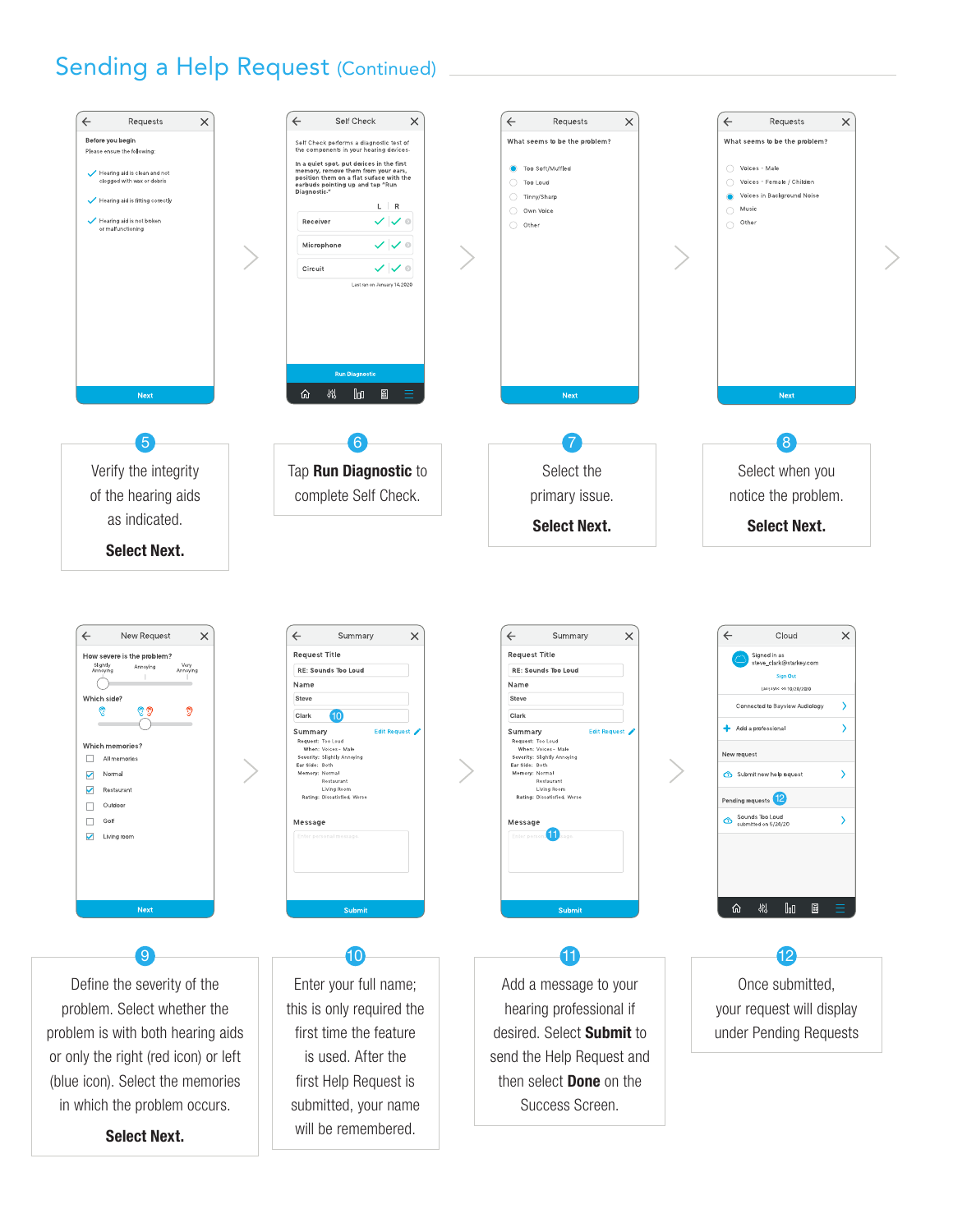### Sending a Help Request (Continued)

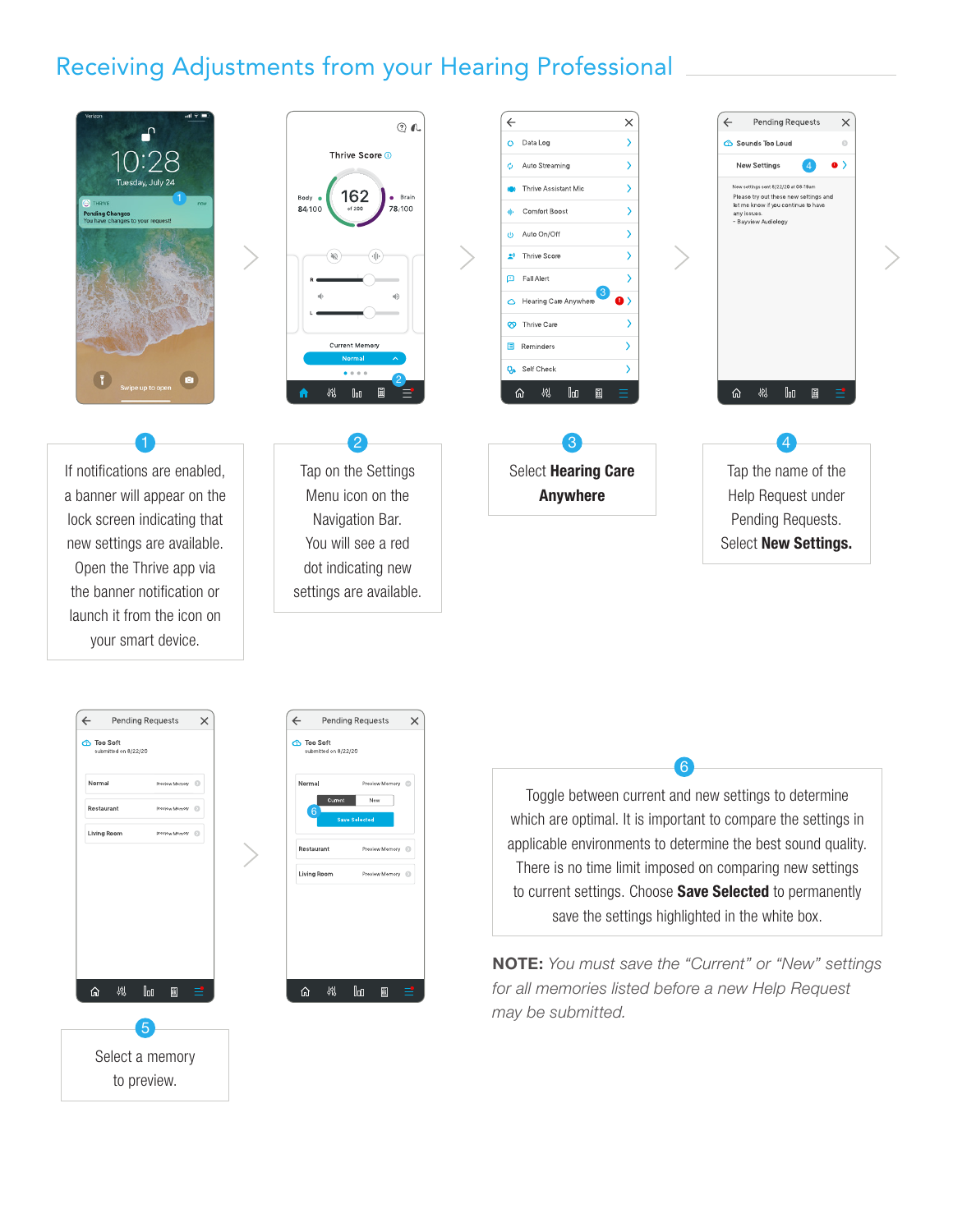## Receiving Adjustments from your Hearing Professional



If notifications are enabled, a banner will appear on the lock screen indicating that new settings are available. Open the Thrive app via the banner notification or launch it from the icon on your smart device.



Tap on the Settings Menu icon on the Navigation Bar. You will see a red dot indicating new settings are available.



Select Hearing Care Anywhere







Toggle between current and new settings to determine which are optimal. It is important to compare the settings in applicable environments to determine the best sound quality. There is no time limit imposed on comparing new settings to current settings. Choose **Save Selected** to permanently save the settings highlighted in the white box.

6

NOTE: *You must save the "Current" or "New" settings for all memories listed before a new Help Request may be submitted.*